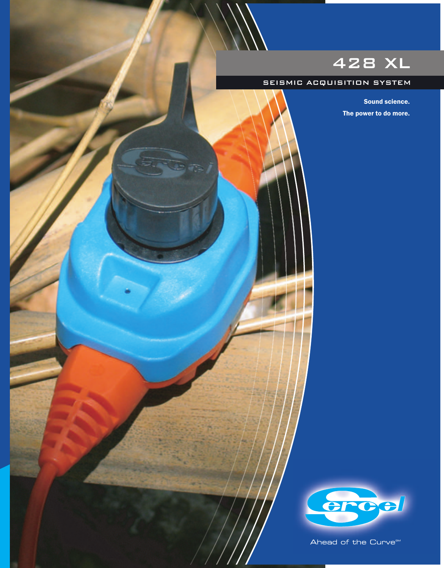# 428 XL

### SEISMIC ACQUISITION SYSTEM

Sound science. The power to do more.



Ahead of the Curve<sup>5M</sup>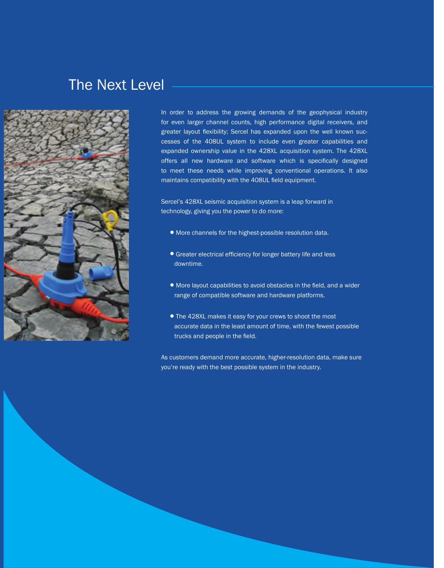# The Next Level



In order to address the growing demands of the geophysical industry for even larger channel counts, high performance digital receivers, and greater layout flexibility; Sercel has expanded upon the well known successes of the 408UL system to include even greater capabilities and expanded ownership value in the 428XL acquisition system. The 428XL offers all new hardware and software which is specifically designed to meet these needs while improving conventional operations. It also maintains compatibility with the 408UL field equipment.

Sercel's 428XL seismic acquisition system is a leap forward in technology, giving you the power to do more:

- •More channels for the highest-possible resolution data.
- Greater electrical efficiency for longer battery life and less downtime.
- More layout capabilities to avoid obstacles in the field, and a wider range of compatible software and hardware platforms.
- •The 428XL makes it easy for your crews to shoot the most accurate data in the least amount of time, with the fewest possible trucks and people in the field.

As customers demand more accurate, higher-resolution data, make sure you're ready with the best possible system in the industry.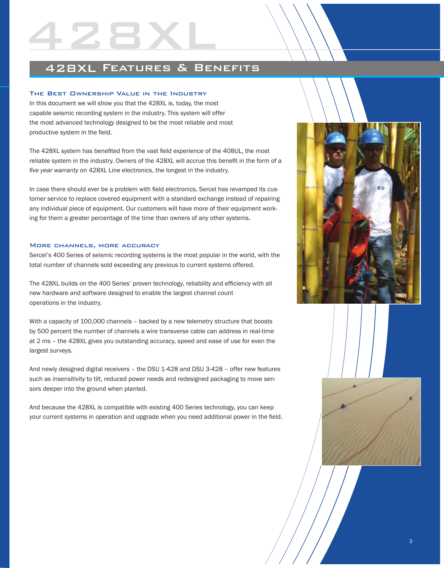## 428XL Features & Benefits

### The Best Ownership Value in the Industry

428XL

In this document we will show you that the 428XL is, today, the most capable seismic recording system in the industry. This system will offer the most advanced technology designed to be the most reliable and most productive system in the field.

The 428XL system has benefited from the vast field experience of the 408UL, the most reliable system in the industry. Owners of the 428XL will accrue this benefit in the form of a *fi ve year warranty* on 428XL Line electronics, the longest in the industry.

In case there should ever be a problem with field electronics, Sercel has revamped its customer service to replace covered equipment with a standard exchange instead of repairing any individual piece of equipment. Our customers will have more of their equipment working for them a greater percentage of the time than owners of any other systems.

### More channels, more accuracy

Sercel's 400 Series of seismic recording systems is the most popular in the world, with the total number of channels sold exceeding any previous to current systems offered.

The 428XL builds on the 400 Series' proven technology, reliability and efficiency with all new hardware and software designed to enable the largest channel count operations in the industry.

With a capacity of 100,000 channels – backed by a new telemetry structure that boosts by 500 percent the number of channels a wire transverse cable can address in real-time at 2 ms – the 428XL gives you outstanding accuracy, speed and ease of use for even the largest surveys.

And newly designed digital receivers – the DSU 1-428 and DSU 3-428 – offer new features such as insensitivity to tilt, reduced power needs and redesigned packaging to move sensors deeper into the ground when planted.

And because the 428XL is compatible with existing 400 Series technology, you can keep your current systems in operation and upgrade when you need additional power in the field.

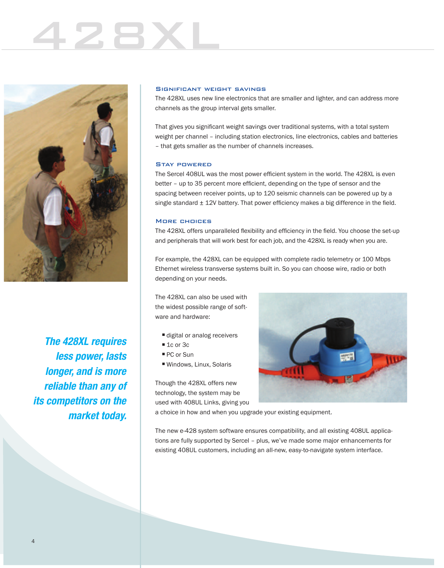# 428XL



 *The 428XL requires less power, lasts longer, and is more reliable than any of its competitors on the market today.*

### Significant weight savings

The 428XL uses new line electronics that are smaller and lighter, and can address more channels as the group interval gets smaller.

That gives you significant weight savings over traditional systems, with a total system weight per channel – including station electronics, line electronics, cables and batteries – that gets smaller as the number of channels increases.

### Stay powered

The Sercel 408UL was the most power efficient system in the world. The 428XL is even better – up to 35 percent more efficient, depending on the type of sensor and the spacing between receiver points, up to 120 seismic channels can be powered up by a single standard  $\pm$  12V battery. That power efficiency makes a big difference in the field.

### More choices

The 428XL offers unparalleled flexibility and efficiency in the field. You choose the set-up and peripherals that will work best for each job, and the 428XL is ready when you are.

For example, the 428XL can be equipped with complete radio telemetry or 100 Mbps Ethernet wireless transverse systems built in. So you can choose wire, radio or both depending on your needs.

The 428XL can also be used with the widest possible range of software and hardware:

- digital or analog receivers
- $\blacksquare$  1c or 3c
- PC or Sun
- Windows, Linux, Solaris

Though the 428XL offers new technology, the system may be used with 408UL Links, giving you



a choice in how and when you upgrade your existing equipment.

The new e-428 system software ensures compatibility, and all existing 408UL applications are fully supported by Sercel – plus, we've made some major enhancements for existing 408UL customers, including an all-new, easy-to-navigate system interface.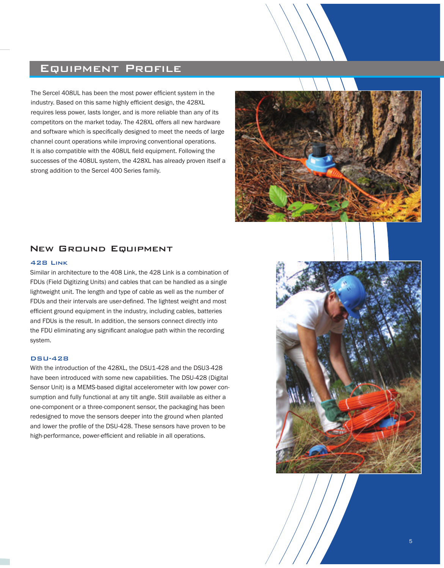## Equipment Profile

The Sercel 408UL has been the most power efficient system in the industry. Based on this same highly efficient design, the 428XL requires less power, lasts longer, and is more reliable than any of its competitors on the market today. The 428XL offers all new hardware and software which is specifically designed to meet the needs of large channel count operations while improving conventional operations. It is also compatible with the 408UL field equipment. Following the successes of the 408UL system, the 428XL has already proven itself a strong addition to the Sercel 400 Series family.



### New Ground Equipment

### 428 Link

Similar in architecture to the 408 Link, the 428 Link is a combination of FDUs (Field Digitizing Units) and cables that can be handled as a single lightweight unit. The length and type of cable as well as the number of FDUs and their intervals are user-defined. The lightest weight and most efficient ground equipment in the industry, including cables, batteries and FDUs is the result. In addition, the sensors connect directly into the FDU eliminating any significant analogue path within the recording system.

### DSU-428

With the introduction of the 428XL, the DSU1-428 and the DSU3-428 have been introduced with some new capabilities. The DSU-428 (Digital Sensor Unit) is a MEMS-based digital accelerometer with low power consumption and fully functional at any tilt angle. Still available as either a one-component or a three-component sensor, the packaging has been redesigned to move the sensors deeper into the ground when planted and lower the profile of the DSU-428. These sensors have proven to be high-performance, power-efficient and reliable in all operations.

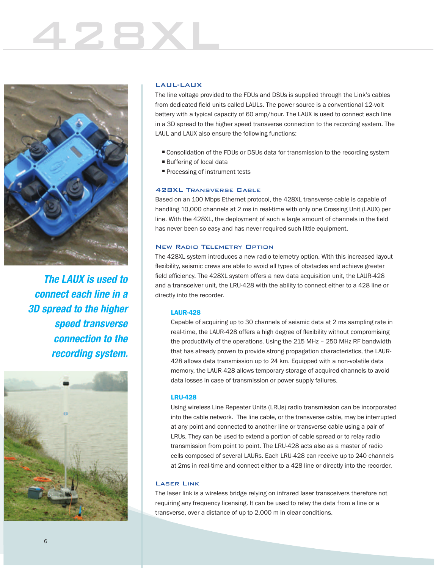# 428XL



*The LAUX is used to connect each line in a 3D spread to the higher speed transverse connection to the recording system.*



### LAUL-LAUX

The line voltage provided to the FDUs and DSUs is supplied through the Link's cables from dedicated field units called LAULs. The power source is a conventional 12-volt battery with a typical capacity of 60 amp/hour. The LAUX is used to connect each line in a 3D spread to the higher speed transverse connection to the recording system. The LAUL and LAUX also ensure the following functions:

- Consolidation of the FDUs or DSUs data for transmission to the recording system
- Buffering of local data
- **Processing of instrument tests**

### 428XL Transverse Cable

Based on an 100 Mbps Ethernet protocol, the 428XL transverse cable is capable of handling 10,000 channels at 2 ms in real-time with only one Crossing Unit (LAUX) per line. With the 428XL, the deployment of such a large amount of channels in the field has never been so easy and has never required such little equipment.

### New Radio Telemetry Option

The 428XL system introduces a new radio telemetry option. With this increased layout flexibility, seismic crews are able to avoid all types of obstacles and achieve greater field efficiency. The 428XL system offers a new data acquisition unit, the LAUR-428 and a transceiver unit, the LRU-428 with the ability to connect either to a 428 line or directly into the recorder.

### LAUR-428

Capable of acquiring up to 30 channels of seismic data at 2 ms sampling rate in real-time, the LAUR-428 offers a high degree of flexibility without compromising the productivity of the operations. Using the 215 MHz – 250 MHz RF bandwidth that has already proven to provide strong propagation characteristics, the LAUR-428 allows data transmission up to 24 km. Equipped with a non-volatile data memory, the LAUR-428 allows temporary storage of acquired channels to avoid data losses in case of transmission or power supply failures.

### LRU-428

Using wireless Line Repeater Units (LRUs) radio transmission can be incorporated into the cable network. The line cable, or the transverse cable, may be interrupted at any point and connected to another line or transverse cable using a pair of LRUs. They can be used to extend a portion of cable spread or to relay radio transmission from point to point. The LRU-428 acts also as a master of radio cells composed of several LAURs. Each LRU-428 can receive up to 240 channels at 2ms in real-time and connect either to a 428 line or directly into the recorder.

### Laser Link

The laser link is a wireless bridge relying on infrared laser transceivers therefore not requiring any frequency licensing. It can be used to relay the data from a line or a transverse, over a distance of up to 2,000 m in clear conditions.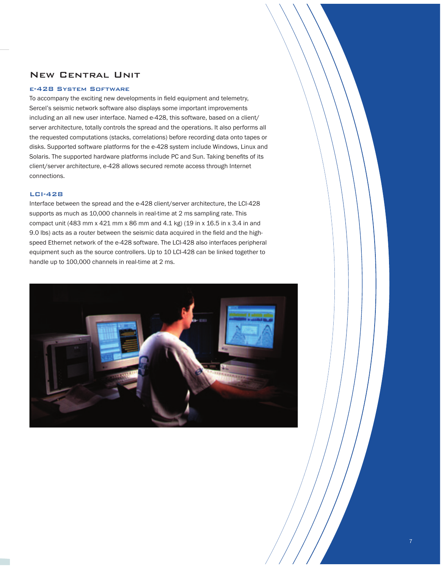### New Central Unit

### e-428 System Software

To accompany the exciting new developments in field equipment and telemetry, Sercel's seismic network software also displays some important improvements including an all new user interface. Named e-428, this software, based on a client/ server architecture, totally controls the spread and the operations. It also performs all the requested computations (stacks, correlations) before recording data onto tapes or disks. Supported software platforms for the e-428 system include Windows, Linux and Solaris. The supported hardware platforms include PC and Sun. Taking benefits of its client/server architecture, e-428 allows secured remote access through Internet connections.

### LCI-428

Interface between the spread and the e-428 client/server architecture, the LCI-428 supports as much as 10,000 channels in real-time at 2 ms sampling rate. This compact unit (483 mm x 421 mm x 86 mm and 4.1 kg) (19 in x 16.5 in x 3.4 in and 9.0 lbs) acts as a router between the seismic data acquired in the field and the highspeed Ethernet network of the e-428 software. The LCI-428 also interfaces peripheral equipment such as the source controllers. Up to 10 LCI-428 can be linked together to handle up to 100,000 channels in real-time at 2 ms.